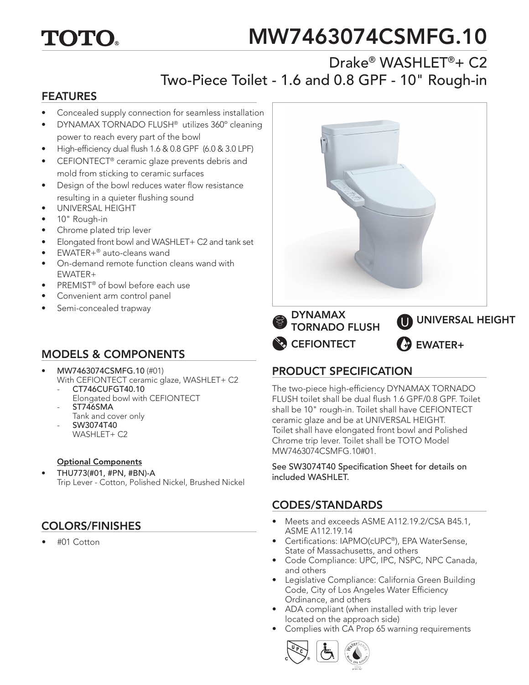# TOTO.

# MW7463074CSMFG.10

## Drake® WASHLET®+ C2 Two-Piece Toilet - 1.6 and 0.8 GPF - 10" Rough-in

#### FEATURES

- Concealed supply connection for seamless installation
- DYNAMAX TORNADO FLUSH® utilizes 360º cleaning power to reach every part of the bowl
- High-efficiency dual flush 1.6 & 0.8 GPF (6.0 & 3.0 LPF)
- CEFIONTECT<sup>®</sup> ceramic glaze prevents debris and mold from sticking to ceramic surfaces
- Design of the bowl reduces water flow resistance resulting in a quieter flushing sound
- UNIVERSAL HEIGHT
- 10" Rough-in
- Chrome plated trip lever
- Elongated front bowl and WASHLET+ C2 and tank set
- EWATER+® auto-cleans wand
- On-demand remote function cleans wand with EWATER+
- PREMIST<sup>®</sup> of bowl before each use
- Convenient arm control panel
- Semi-concealed trapway

### MODELS & COMPONENTS

- MW7463074CSMFG.10 (#01)
	- With CEFIONTECT ceramic glaze, WASHLET+ C2 CT746CUFGT40.10
		- Elongated bowl with CEFIONTECT ST746SMA
		- Tank and cover only
		- SW3074T40 WASHLET+ C2

#### Optional Components

• THU773(#01, #PN, #BN)-A Trip Lever - Cotton, Polished Nickel, Brushed Nickel

### COLORS/FINISHES

• #01 Cotton



**CEFIONTECT** DYNAMAX TORNADO FLUSH EWATER+ UNIVERSAL HEIGHT

### PRODUCT SPECIFICATION

The two-piece high-efficiency DYNAMAX TORNADO FLUSH toilet shall be dual flush 1.6 GPF/0.8 GPF. Toilet shall be 10" rough-in. Toilet shall have CEFIONTECT ceramic glaze and be at UNIVERSAL HEIGHT. Toilet shall have elongated front bowl and Polished Chrome trip lever. Toilet shall be TOTO Model MW7463074CSMFG.10#01.

See SW3074T40 Specification Sheet for details on included WASHLET.

#### CODES/STANDARDS

- Meets and exceeds ASME A112.19.2/CSA B45.1, ASME A112.19.14
- Certifications: IAPMO(cUPC®), EPA WaterSense, State of Massachusetts, and others
- Code Compliance: UPC, IPC, NSPC, NPC Canada, and others
- Legislative Compliance: California Green Building Code, City of Los Angeles Water Efficiency Ordinance, and others
- ADA compliant (when installed with trip lever located on the approach side)
- Complies with CA Prop 65 warning requirements